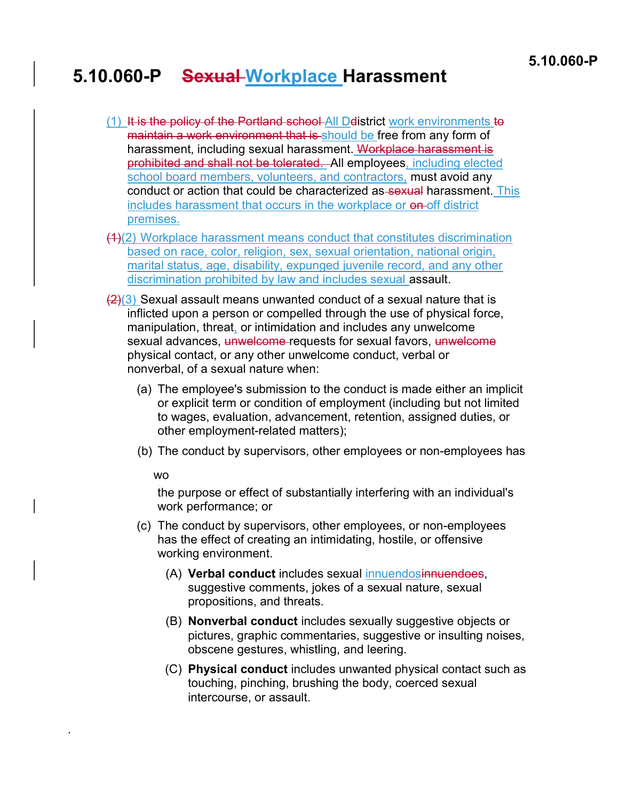## 5.10.060-P Sexual Workplace Harassment

- $(1)$  It is the policy of the Portland school All Delistrict work environments to maintain a work environment that is should be free from any form of harassment, including sexual harassment. Workplace harassment is prohibited and shall not be tolerated. All employees, including elected school board members, volunteers, and contractors, must avoid any conduct or action that could be characterized as sexual harassment. This includes harassment that occurs in the workplace or on-off district premises.
- (1)(2) Workplace harassment means conduct that constitutes discrimination based on race, color, religion, sex, sexual orientation, national origin, marital status, age, disability, expunged juvenile record, and any other discrimination prohibited by law and includes sexual assault.
- $\left(\frac{2}{3}\right)$  Sexual assault means unwanted conduct of a sexual nature that is inflicted upon a person or compelled through the use of physical force, manipulation, threat, or intimidation and includes any unwelcome sexual advances, unwelcome requests for sexual favors, unwelcome physical contact, or any other unwelcome conduct, verbal or nonverbal, of a sexual nature when:
	- (a) The employee's submission to the conduct is made either an implicit or explicit term or condition of employment (including but not limited to wages, evaluation, advancement, retention, assigned duties, or other employment-related matters);
	- (b) The conduct by supervisors, other employees or non-employees has

## wo

.

the purpose or effect of substantially interfering with an individual's work performance; or

- (c) The conduct by supervisors, other employees, or non-employees has the effect of creating an intimidating, hostile, or offensive working environment.
	- (A) Verbal conduct includes sexual innuendosinnuendoes, suggestive comments, jokes of a sexual nature, sexual propositions, and threats.
	- (B) Nonverbal conduct includes sexually suggestive objects or pictures, graphic commentaries, suggestive or insulting noises, obscene gestures, whistling, and leering.
	- (C) Physical conduct includes unwanted physical contact such as touching, pinching, brushing the body, coerced sexual intercourse, or assault.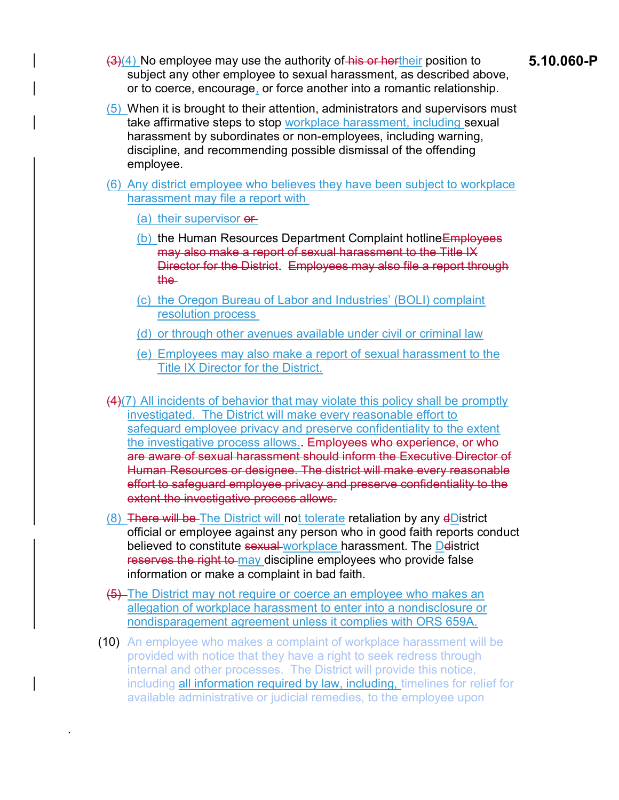- $\frac{(3)(4)}{8}$  No employee may use the authority of his or hertheir position to 5.10.060-P subject any other employee to sexual harassment, as described above, or to coerce, encourage, or force another into a romantic relationship.
- (5) When it is brought to their attention, administrators and supervisors must take affirmative steps to stop workplace harassment, including sexual harassment by subordinates or non-employees, including warning, discipline, and recommending possible dismissal of the offending employee.

(6) Any district employee who believes they have been subject to workplace harassment may file a report with

(a) their supervisor or

.

- (b) the Human Resources Department Complaint hotline Employees may also make a report of sexual harassment to the Title IX Director for the District. Employees may also file a report through the
- (c) the Oregon Bureau of Labor and Industries' (BOLI) complaint resolution process
- (d) or through other avenues available under civil or criminal law
- (e) Employees may also make a report of sexual harassment to the Title IX Director for the District.
- (4)(7) All incidents of behavior that may violate this policy shall be promptly investigated. The District will make every reasonable effort to safeguard employee privacy and preserve confidentiality to the extent the investigative process allows. Employees who experience, or who are aware of sexual harassment should inform the Executive Director of Human Resources or designee. The district will make every reasonable effort to safeguard employee privacy and preserve confidentiality to the extent the investigative process allows.
- (8) There will be The District will not tolerate retaliation by any dDistrict official or employee against any person who in good faith reports conduct believed to constitute sexual workplace harassment. The Delistrict reserves the right to may discipline employees who provide false information or make a complaint in bad faith.
- (5) The District may not require or coerce an employee who makes an allegation of workplace harassment to enter into a nondisclosure or nondisparagement agreement unless it complies with ORS 659A.
- (10) An employee who makes a complaint of workplace harassment will be provided with notice that they have a right to seek redress through internal and other processes. The District will provide this notice, including all information required by law, including, timelines for relief for available administrative or judicial remedies, to the employee upon